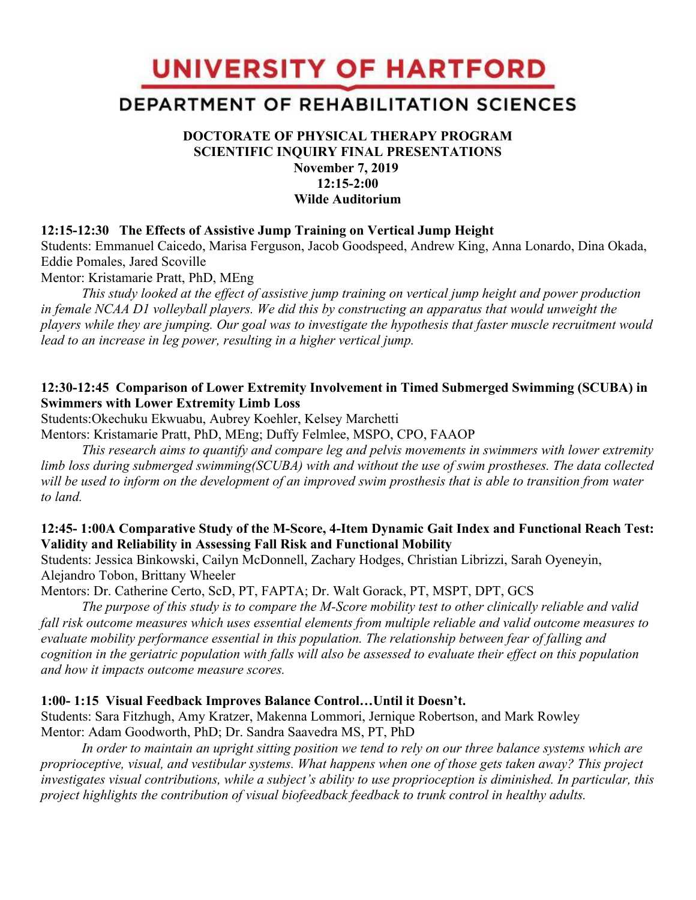UNIVERSITY OF HARTFORD

# DEPARTMENT OF REHABILITATION SCIENCES

# **DOCTORATE OF PHYSICAL THERAPY PROGRAM SCIENTIFIC INQUIRY FINAL PRESENTATIONS November 7, 2019 12:15-2:00 Wilde Auditorium**

#### **12:15-12:30 The Effects of Assistive Jump Training on Vertical Jump Height**

Students: Emmanuel Caicedo, Marisa Ferguson, Jacob Goodspeed, Andrew King, Anna Lonardo, Dina Okada, Eddie Pomales, Jared Scoville

Mentor: Kristamarie Pratt, PhD, MEng

*This study looked at the effect of assistive jump training on vertical jump height and power production in female NCAA D1 volleyball players. We did this by constructing an apparatus that would unweight the players while they are jumping. Our goal was to investigate the hypothesis that faster muscle recruitment would lead to an increase in leg power, resulting in a higher vertical jump.*

#### **12:30-12:45 Comparison of Lower Extremity Involvement in Timed Submerged Swimming (SCUBA) in Swimmers with Lower Extremity Limb Loss**

Students:Okechuku Ekwuabu, Aubrey Koehler, Kelsey Marchetti

Mentors: Kristamarie Pratt, PhD, MEng; Duffy Felmlee, MSPO, CPO, FAAOP

*This research aims to quantify and compare leg and pelvis movements in swimmers with lower extremity limb loss during submerged swimming(SCUBA) with and without the use of swim prostheses. The data collected will be used to inform on the development of an improved swim prosthesis that is able to transition from water to land.* 

## **12:45- 1:00A Comparative Study of the M-Score, 4-Item Dynamic Gait Index and Functional Reach Test: Validity and Reliability in Assessing Fall Risk and Functional Mobility**

Students: Jessica Binkowski, Cailyn McDonnell, Zachary Hodges, Christian Librizzi, Sarah Oyeneyin, Alejandro Tobon, Brittany Wheeler

Mentors: Dr. Catherine Certo, ScD, PT, FAPTA; Dr. Walt Gorack, PT, MSPT, DPT, GCS

*The purpose of this study is to compare the M-Score mobility test to other clinically reliable and valid fall risk outcome measures which uses essential elements from multiple reliable and valid outcome measures to evaluate mobility performance essential in this population. The relationship between fear of falling and cognition in the geriatric population with falls will also be assessed to evaluate their effect on this population and how it impacts outcome measure scores.*

#### **1:00- 1:15 Visual Feedback Improves Balance Control…Until it Doesn't.**

Students: Sara Fitzhugh, Amy Kratzer, Makenna Lommori, Jernique Robertson, and Mark Rowley Mentor: Adam Goodworth, PhD; Dr. Sandra Saavedra MS, PT, PhD

*In order to maintain an upright sitting position we tend to rely on our three balance systems which are proprioceptive, visual, and vestibular systems. What happens when one of those gets taken away? This project investigates visual contributions, while a subject's ability to use proprioception is diminished. In particular, this project highlights the contribution of visual biofeedback feedback to trunk control in healthy adults.*